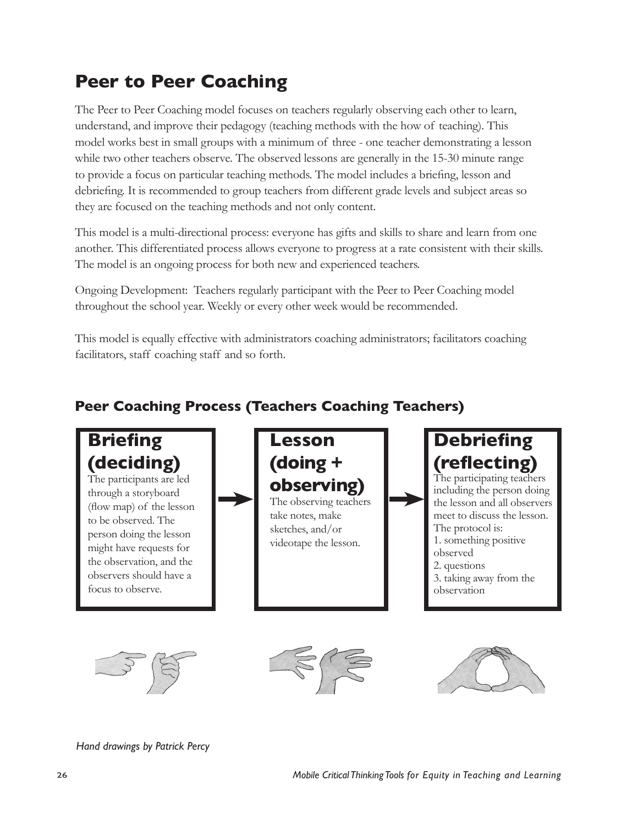# **Peer to Peer Coaching**

The Peer to Peer Coaching model focuses on teachers regularly observing each other to learn, understand, and improve their pedagogy (teaching methods with the how of teaching). This model works best in small groups with a minimum of three - one teacher demonstrating a lesson while two other teachers observe. The observed lessons are generally in the 15-30 minute range to provide a focus on particular teaching methods. The model includes a briefing, lesson and debriefing. It is recommended to group teachers from different grade levels and subject areas so they are focused on the teaching methods and not only content.

This model is a multi-directional process: everyone has gifts and skills to share and learn from one another. This differentiated process allows everyone to progress at a rate consistent with their skills. The model is an ongoing process for both new and experienced teachers.

Ongoing Development: Teachers regularly participant with the Peer to Peer Coaching model throughout the school year. Weekly or every other week would be recommended.

This model is equally effective with administrators coaching administrators; facilitators coaching facilitators, staff coaching staff and so forth.

# **Peer Coaching Process (Teachers Coaching Teachers)**



*Hand drawings by Patrick Percy*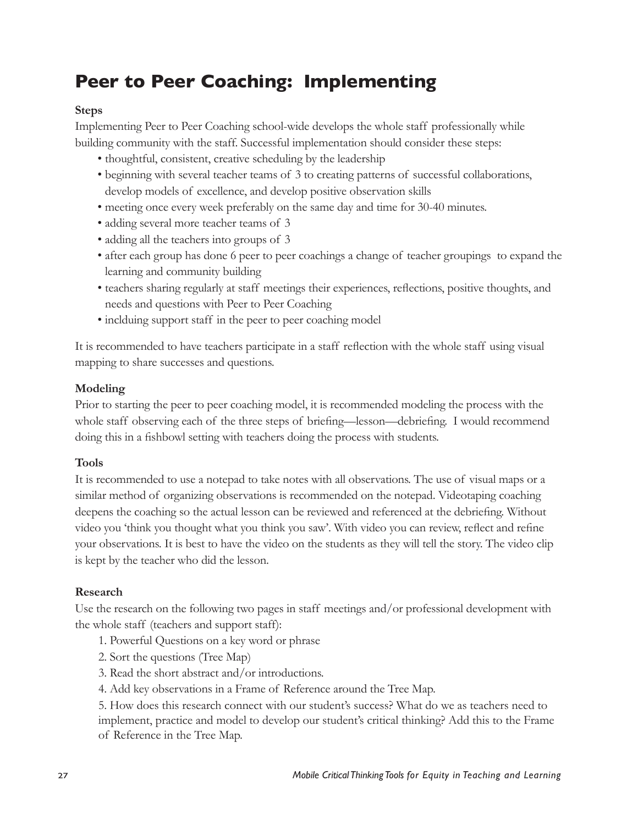# **Peer to Peer Coaching: Implementing**

#### **Steps**

Implementing Peer to Peer Coaching school-wide develops the whole staff professionally while building community with the staff. Successful implementation should consider these steps:

- thoughtful, consistent, creative scheduling by the leadership
- beginning with several teacher teams of 3 to creating patterns of successful collaborations, develop models of excellence, and develop positive observation skills
- meeting once every week preferably on the same day and time for 30-40 minutes.
- adding several more teacher teams of 3
- adding all the teachers into groups of 3
- after each group has done 6 peer to peer coachings a change of teacher groupings to expand the learning and community building
- teachers sharing regularly at staff meetings their experiences, reflections, positive thoughts, and needs and questions with Peer to Peer Coaching
- inclduing support staff in the peer to peer coaching model

It is recommended to have teachers participate in a staff reflection with the whole staff using visual mapping to share successes and questions.

#### **Modeling**

Prior to starting the peer to peer coaching model, it is recommended modeling the process with the whole staff observing each of the three steps of briefing—lesson—debriefing. I would recommend doing this in a fishbowl setting with teachers doing the process with students.

### **Tools**

It is recommended to use a notepad to take notes with all observations. The use of visual maps or a similar method of organizing observations is recommended on the notepad. Videotaping coaching deepens the coaching so the actual lesson can be reviewed and referenced at the debriefing. Without video you 'think you thought what you think you saw'. With video you can review, reflect and refine your observations. It is best to have the video on the students as they will tell the story. The video clip is kept by the teacher who did the lesson.

#### **Research**

Use the research on the following two pages in staff meetings and/or professional development with the whole staff (teachers and support staff):

- 1. Powerful Questions on a key word or phrase
- 2. Sort the questions (Tree Map)
- 3. Read the short abstract and/or introductions.
- 4. Add key observations in a Frame of Reference around the Tree Map.

5. How does this research connect with our student's success? What do we as teachers need to implement, practice and model to develop our student's critical thinking? Add this to the Frame of Reference in the Tree Map.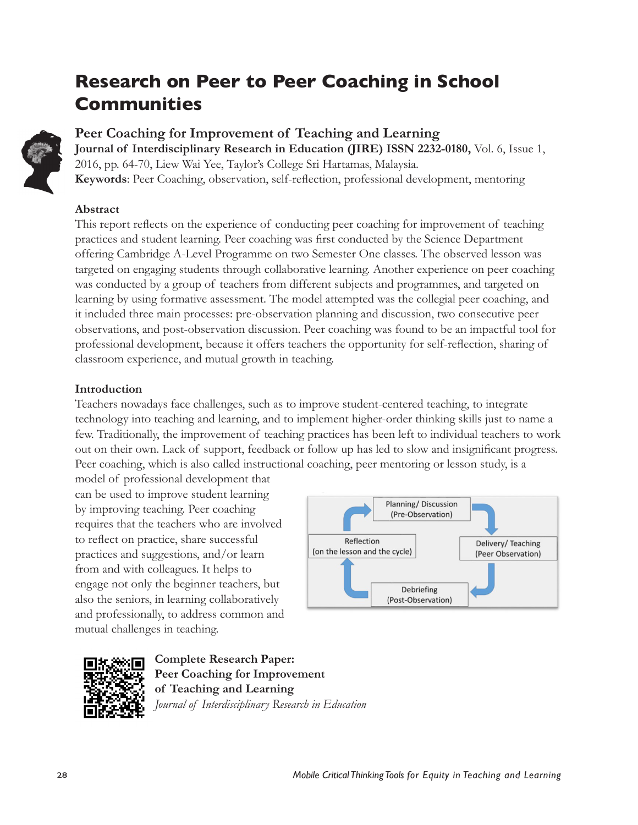# **Research on Peer to Peer Coaching in School Communities**



### **Peer Coaching for Improvement of Teaching and Learning Journal of Interdisciplinary Research in Education (JIRE) ISSN 2232-0180,** Vol. 6, Issue 1, 2016, pp. 64-70, Liew Wai Yee, Taylor's College Sri Hartamas, Malaysia. **Keywords**: Peer Coaching, observation, self-reflection, professional development, mentoring

### **Abstract**

This report reflects on the experience of conducting peer coaching for improvement of teaching practices and student learning. Peer coaching was first conducted by the Science Department offering Cambridge A-Level Programme on two Semester One classes. The observed lesson was targeted on engaging students through collaborative learning. Another experience on peer coaching was conducted by a group of teachers from different subjects and programmes, and targeted on learning by using formative assessment. The model attempted was the collegial peer coaching, and it included three main processes: pre-observation planning and discussion, two consecutive peer observations, and post-observation discussion. Peer coaching was found to be an impactful tool for professional development, because it offers teachers the opportunity for self-reflection, sharing of classroom experience, and mutual growth in teaching.

### **Introduction**

Teachers nowadays face challenges, such as to improve student-centered teaching, to integrate technology into teaching and learning, and to implement higher-order thinking skills just to name a few. Traditionally, the improvement of teaching practices has been left to individual teachers to work out on their own. Lack of support, feedback or follow up has led to slow and insignificant progress. Peer coaching, which is also called instructional coaching, peer mentoring or lesson study, is a

model of professional development that can be used to improve student learning by improving teaching. Peer coaching requires that the teachers who are involved to reflect on practice, share successful practices and suggestions, and/or learn from and with colleagues. It helps to engage not only the beginner teachers, but also the seniors, in learning collaboratively and professionally, to address common and mutual challenges in teaching.





**Complete Research Paper: Peer Coaching for Improvement of Teaching and Learning** *Journal of Interdisciplinary Research in Education*